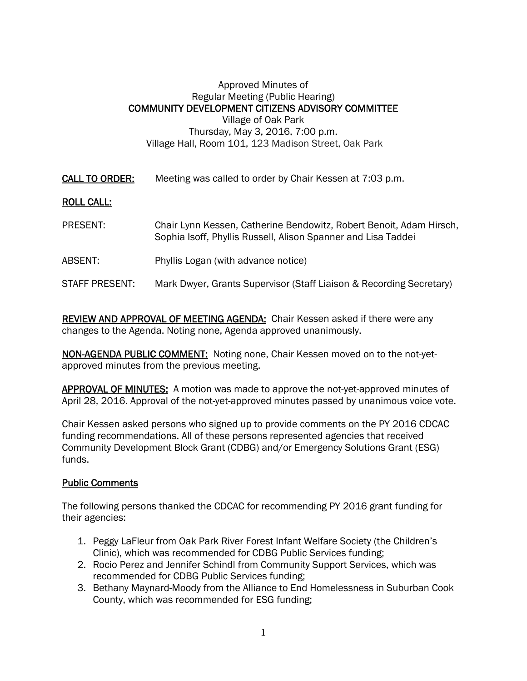## Approved Minutes of Regular Meeting (Public Hearing) COMMUNITY DEVELOPMENT CITIZENS ADVISORY COMMITTEE Village of Oak Park Thursday, May 3, 2016, 7:00 p.m. Village Hall, Room 101, 123 Madison Street, Oak Park

CALL TO ORDER: Meeting was called to order by Chair Kessen at 7:03 p.m.

## ROLL CALL:

- PRESENT: Chair Lynn Kessen, Catherine Bendowitz, Robert Benoit, Adam Hirsch, Sophia Isoff, Phyllis Russell, Alison Spanner and Lisa Taddei
- ABSENT: Phyllis Logan (with advance notice)
- STAFF PRESENT: Mark Dwyer, Grants Supervisor (Staff Liaison & Recording Secretary)

REVIEW AND APPROVAL OF MEETING AGENDA: Chair Kessen asked if there were any changes to the Agenda. Noting none, Agenda approved unanimously.

NON-AGENDA PUBLIC COMMENT: Noting none, Chair Kessen moved on to the not-yetapproved minutes from the previous meeting.

APPROVAL OF MINUTES: A motion was made to approve the not-yet-approved minutes of April 28, 2016. Approval of the not-yet-approved minutes passed by unanimous voice vote.

Chair Kessen asked persons who signed up to provide comments on the PY 2016 CDCAC funding recommendations. All of these persons represented agencies that received Community Development Block Grant (CDBG) and/or Emergency Solutions Grant (ESG) funds.

## Public Comments

The following persons thanked the CDCAC for recommending PY 2016 grant funding for their agencies:

- 1. Peggy LaFleur from Oak Park River Forest Infant Welfare Society (the Children's Clinic), which was recommended for CDBG Public Services funding;
- 2. Rocio Perez and Jennifer Schindl from Community Support Services, which was recommended for CDBG Public Services funding;
- 3. Bethany Maynard-Moody from the Alliance to End Homelessness in Suburban Cook County, which was recommended for ESG funding;